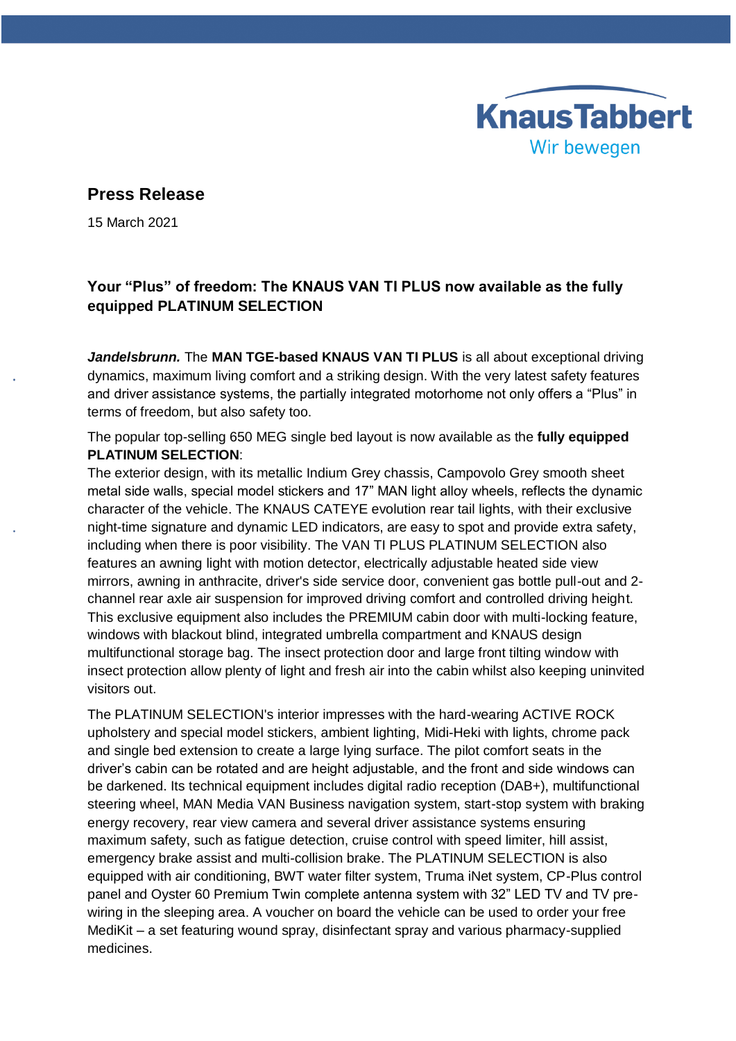## **Press Release**

15 March 2021

## **Your "Plus" of freedom: The KNAUS VAN TI PLUS now available as the fully equipped PLATINUM SELECTION**

**KnausTabbert** 

Wir bewegen

*Jandelsbrunn.* The **MAN TGE-based KNAUS VAN TI PLUS** is all about exceptional driving dynamics, maximum living comfort and a striking design. With the very latest safety features and driver assistance systems, the partially integrated motorhome not only offers a "Plus" in terms of freedom, but also safety too.

The popular top-selling 650 MEG single bed layout is now available as the **fully equipped PLATINUM SELECTION**:

The exterior design, with its metallic Indium Grey chassis, Campovolo Grey smooth sheet metal side walls, special model stickers and 17" MAN light alloy wheels, reflects the dynamic character of the vehicle. The KNAUS CATEYE evolution rear tail lights, with their exclusive night-time signature and dynamic LED indicators, are easy to spot and provide extra safety, including when there is poor visibility. The VAN TI PLUS PLATINUM SELECTION also features an awning light with motion detector, electrically adjustable heated side view mirrors, awning in anthracite, driver's side service door, convenient gas bottle pull-out and 2 channel rear axle air suspension for improved driving comfort and controlled driving height. This exclusive equipment also includes the PREMIUM cabin door with multi-locking feature, windows with blackout blind, integrated umbrella compartment and KNAUS design multifunctional storage bag. The insect protection door and large front tilting window with insect protection allow plenty of light and fresh air into the cabin whilst also keeping uninvited visitors out.

The PLATINUM SELECTION's interior impresses with the hard-wearing ACTIVE ROCK upholstery and special model stickers, ambient lighting, Midi-Heki with lights, chrome pack and single bed extension to create a large lying surface. The pilot comfort seats in the driver's cabin can be rotated and are height adjustable, and the front and side windows can be darkened. Its technical equipment includes digital radio reception (DAB+), multifunctional steering wheel, MAN Media VAN Business navigation system, start-stop system with braking energy recovery, rear view camera and several driver assistance systems ensuring maximum safety, such as fatigue detection, cruise control with speed limiter, hill assist, emergency brake assist and multi-collision brake. The PLATINUM SELECTION is also equipped with air conditioning, BWT water filter system, Truma iNet system, CP-Plus control panel and Oyster 60 Premium Twin complete antenna system with 32" LED TV and TV prewiring in the sleeping area. A voucher on board the vehicle can be used to order your free MediKit – a set featuring wound spray, disinfectant spray and various pharmacy-supplied medicines.